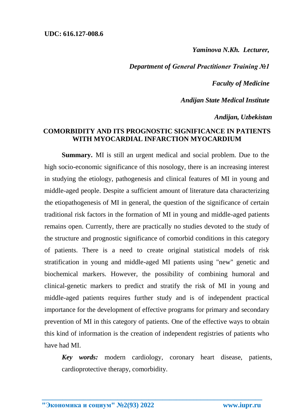*Yaminova N.Kh. Lecturer,*

*Department of General Practitioner Training №1*

*Faculty of Medicine*

*Andijan State Medical Institute*

*Andijan, Uzbekistan*

## **COMORBIDITY AND ITS PROGNOSTIC SIGNIFICANCE IN PATIENTS WITH MYOCARDIAL INFARCTION MYOCARDIUM**

**Summary.** MI is still an urgent medical and social problem. Due to the high socio-economic significance of this nosology, there is an increasing interest in studying the etiology, pathogenesis and clinical features of MI in young and middle-aged people. Despite a sufficient amount of literature data characterizing the etiopathogenesis of MI in general, the question of the significance of certain traditional risk factors in the formation of MI in young and middle-aged patients remains open. Currently, there are practically no studies devoted to the study of the structure and prognostic significance of comorbid conditions in this category of patients. There is a need to create original statistical models of risk stratification in young and middle-aged MI patients using "new" genetic and biochemical markers. However, the possibility of combining humoral and clinical-genetic markers to predict and stratify the risk of MI in young and middle-aged patients requires further study and is of independent practical importance for the development of effective programs for primary and secondary prevention of MI in this category of patients. One of the effective ways to obtain this kind of information is the creation of independent registries of patients who have had MI.

*Key words:* modern cardiology, coronary heart disease, patients, cardioprotective therapy, comorbidity.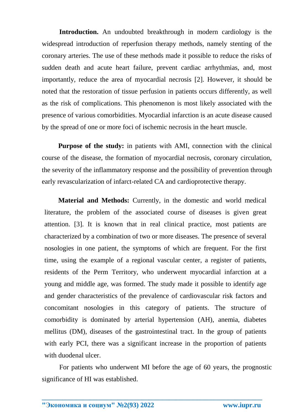**Introduction.** An undoubted breakthrough in modern cardiology is the widespread introduction of reperfusion therapy methods, namely stenting of the coronary arteries. The use of these methods made it possible to reduce the risks of sudden death and acute heart failure, prevent cardiac arrhythmias, and, most importantly, reduce the area of myocardial necrosis [2]. However, it should be noted that the restoration of tissue perfusion in patients occurs differently, as well as the risk of complications. This phenomenon is most likely associated with the presence of various comorbidities. Myocardial infarction is an acute disease caused by the spread of one or more foci of ischemic necrosis in the heart muscle.

**Purpose of the study:** in patients with AMI, connection with the clinical course of the disease, the formation of myocardial necrosis, coronary circulation, the severity of the inflammatory response and the possibility of prevention through early revascularization of infarct-related CA and cardioprotective therapy.

**Material and Methods:** Currently, in the domestic and world medical literature, the problem of the associated course of diseases is given great attention. [3]. It is known that in real clinical practice, most patients are characterized by a combination of two or more diseases. The presence of several nosologies in one patient, the symptoms of which are frequent. For the first time, using the example of a regional vascular center, a register of patients, residents of the Perm Territory, who underwent myocardial infarction at a young and middle age, was formed. The study made it possible to identify age and gender characteristics of the prevalence of cardiovascular risk factors and concomitant nosologies in this category of patients. The structure of comorbidity is dominated by arterial hypertension (AH), anemia, diabetes mellitus (DM), diseases of the gastrointestinal tract. In the group of patients with early PCI, there was a significant increase in the proportion of patients with duodenal ulcer.

For patients who underwent MI before the age of 60 years, the prognostic significance of HI was established.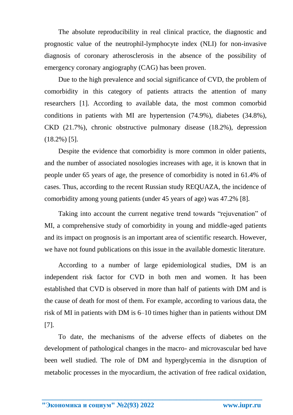The absolute reproducibility in real clinical practice, the diagnostic and prognostic value of the neutrophil-lymphocyte index (NLI) for non-invasive diagnosis of coronary atherosclerosis in the absence of the possibility of emergency coronary angiography (CAG) has been proven.

Due to the high prevalence and social significance of CVD, the problem of comorbidity in this category of patients attracts the attention of many researchers [1]. According to available data, the most common comorbid conditions in patients with MI are hypertension (74.9%), diabetes (34.8%), CKD (21.7%), chronic obstructive pulmonary disease (18.2%), depression (18.2%) [5].

Despite the evidence that comorbidity is more common in older patients, and the number of associated nosologies increases with age, it is known that in people under 65 years of age, the presence of comorbidity is noted in 61.4% of cases. Thus, according to the recent Russian study REQUAZA, the incidence of comorbidity among young patients (under 45 years of age) was 47.2% [8].

Taking into account the current negative trend towards "rejuvenation" of MI, a comprehensive study of comorbidity in young and middle-aged patients and its impact on prognosis is an important area of scientific research. However, we have not found publications on this issue in the available domestic literature.

According to a number of large epidemiological studies, DM is an independent risk factor for CVD in both men and women. It has been established that CVD is observed in more than half of patients with DM and is the cause of death for most of them. For example, according to various data, the risk of MI in patients with DM is 6–10 times higher than in patients without DM [7].

To date, the mechanisms of the adverse effects of diabetes on the development of pathological changes in the macro- and microvascular bed have been well studied. The role of DM and hyperglycemia in the disruption of metabolic processes in the myocardium, the activation of free radical oxidation,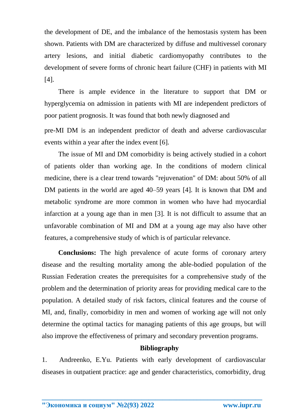the development of DE, and the imbalance of the hemostasis system has been shown. Patients with DM are characterized by diffuse and multivessel coronary artery lesions, and initial diabetic cardiomyopathy contributes to the development of severe forms of chronic heart failure (CHF) in patients with MI [4].

There is ample evidence in the literature to support that DM or hyperglycemia on admission in patients with MI are independent predictors of poor patient prognosis. It was found that both newly diagnosed and

pre-MI DM is an independent predictor of death and adverse cardiovascular events within a year after the index event [6].

The issue of MI and DM comorbidity is being actively studied in a cohort of patients older than working age. In the conditions of modern clinical medicine, there is a clear trend towards "rejuvenation" of DM: about 50% of all DM patients in the world are aged 40–59 years [4]. It is known that DM and metabolic syndrome are more common in women who have had myocardial infarction at a young age than in men [3]. It is not difficult to assume that an unfavorable combination of MI and DM at a young age may also have other features, a comprehensive study of which is of particular relevance.

**Conclusions:** The high prevalence of acute forms of coronary artery disease and the resulting mortality among the able-bodied population of the Russian Federation creates the prerequisites for a comprehensive study of the problem and the determination of priority areas for providing medical care to the population. A detailed study of risk factors, clinical features and the course of MI, and, finally, comorbidity in men and women of working age will not only determine the optimal tactics for managing patients of this age groups, but will also improve the effectiveness of primary and secondary prevention programs.

## **Bibliography**

1. Andreenko, E.Yu. Patients with early development of cardiovascular diseases in outpatient practice: age and gender characteristics, comorbidity, drug